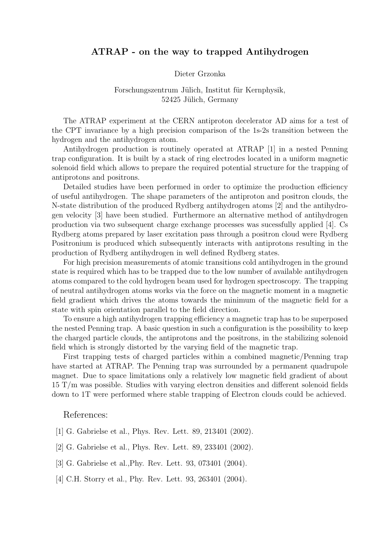# ATRAP - on the way to trapped Antihydrogen

#### Dieter Grzonka

## Forschungszentrum Jülich, Institut für Kernphysik, 52425 Jülich, Germany

The ATRAP experiment at the CERN antiproton decelerator AD aims for a test of the CPT invariance by a high precision comparison of the 1s-2s transition between the hydrogen and the antihydrogen atom.

Antihydrogen production is routinely operated at ATRAP [1] in a nested Penning trap configuration. It is built by a stack of ring electrodes located in a uniform magnetic solenoid field which allows to prepare the required potential structure for the trapping of antiprotons and positrons.

Detailed studies have been performed in order to optimize the production efficiency of useful antihydrogen. The shape parameters of the antiproton and positron clouds, the N-state distribution of the produced Rydberg antihydrogen atoms [2] and the antihydrogen velocity [3] have been studied. Furthermore an alternative method of antihydrogen production via two subsequent charge exchange processes was sucessfully applied [4]. Cs Rydberg atoms prepared by laser excitation pass through a positron cloud were Rydberg Positronium is produced which subsequently interacts with antiprotons resulting in the production of Rydberg antihydrogen in well defined Rydberg states.

For high precision measurements of atomic transitions cold antihydrogen in the ground state is required which has to be trapped due to the low number of available antihydrogen atoms compared to the cold hydrogen beam used for hydrogen spectroscopy. The trapping of neutral antihydrogen atoms works via the force on the magnetic moment in a magnetic field gradient which drives the atoms towards the minimum of the magnetic field for a state with spin orientation parallel to the field direction.

To ensure a high antihydrogen trapping efficiency a magnetic trap has to be superposed the nested Penning trap. A basic question in such a configuration is the possibility to keep the charged particle clouds, the antiprotons and the positrons, in the stabilizing solenoid field which is strongly distorted by the varying field of the magnetic trap.

First trapping tests of charged particles within a combined magnetic/Penning trap have started at ATRAP. The Penning trap was surrounded by a permanent quadrupole magnet. Due to space limitations only a relatively low magnetic field gradient of about 15 T/m was possible. Studies with varying electron densities and different solenoid fields down to 1T were performed where stable trapping of Electron clouds could be achieved.

### References:

- [1] G. Gabrielse et al., Phys. Rev. Lett. 89, 213401 (2002).
- [2] G. Gabrielse et al., Phys. Rev. Lett. 89, 233401 (2002).
- [3] G. Gabrielse et al.,Phy. Rev. Lett. 93, 073401 (2004).
- [4] C.H. Storry et al., Phy. Rev. Lett. 93, 263401 (2004).